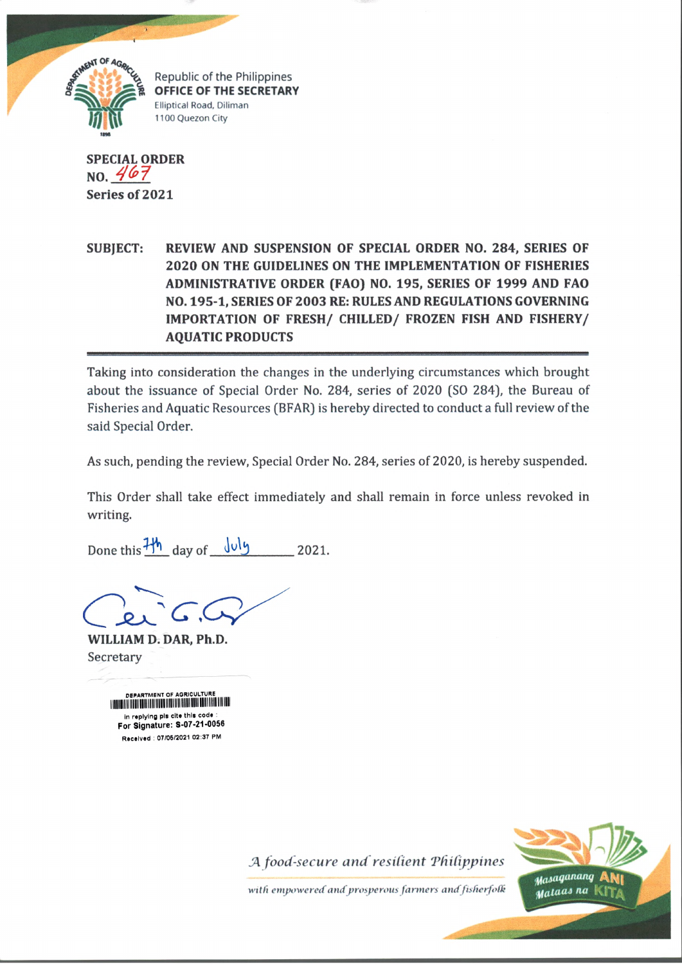

Republic of the Philippines OFFICE OF THE SECRETARY Elliptical Road, Diliman 1100 Quezon City

**SPECIAL ORDER NO.** *j* **Series of 2021**

**SUBJECT: REVIEW AND SUSPENSION OF SPECIAL ORDER NO. 284, SERIES OF 2020 ON THE GUIDELINES ON THE IMPLEMENTATION OF FISHERIES ADMINISTRATIVE ORDER (FAO) NO. 195, SERIES OF 1999 AND FAO NO. 195-1, SERIES OF 2003 RE: RULES AND REGULATIONS GOVERNING IMPORTATION OF FRESH/ CHILLED/ FROZEN FISH AND FISHERY/ AQUATIC PRODUCTS**

Taking into consideration the changes in the underlying circumstances which brought about the issuance of Special Order No. 284, series of 2020 (SO 284), the Bureau of Fisheries and Aquatic Resources (BFAR) is hereby directed to conduct a full review of the said Special Order.

As such, pending the review, Special Order No. 284, series of 2020, is hereby suspended.

This Order shall take effect immediately and shall remain in force unless revoked in writing.

Done this  $\frac{1}{\sqrt{2}}$  day of  $\frac{1}{\sqrt{2}}$  2021.

**WILLIAM D. DAR, Ph.D.** Secretary

DEPARTMENT OF A GRIFFING CONTINUES OF A GRIFFING AND LODGED AND LODGED AND LODGED AND LODGED AND LODGED AND LODGED AND LODGED AND LODGED AND LODGED AND LODGED AND LODGED AND LODGED AND LODGED AND LODGED AND LODGED AND LODG in replying pis cite this code For Signature: S-07-21-0056 Received : 07/06/2021 02:37 PM

J4 *food-secure and resilient TdiCippines*



*with empowered and prosperous fanners and*